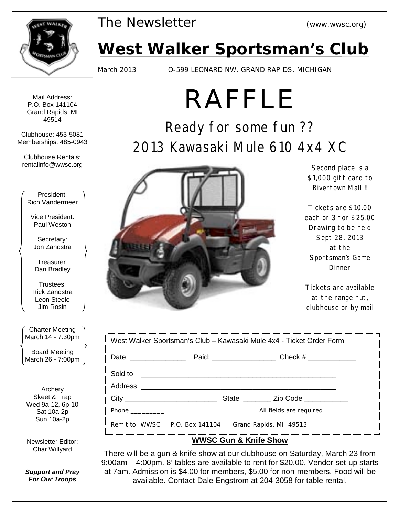

*The Newsletter (www.wwsc.org)*

# *West Walker Sportsman's Club*

March 2013 O-599 LEONARD NW, GRAND RAPIDS, MICHIGAN

Mail Address: P.O. Box 141104 Grand Rapids, MI 49514

Clubhouse: 453-5081 Memberships: 485-0943

Clubhouse Rentals: rentalinfo@wwsc.org

President: Rich Vandermeer

Vice President: Paul Weston

Secretary: Jon Zandstra

Treasurer: Dan Bradley

Trustees: Rick Zandstra Leon Steele Jim Rosin

Charter Meeting March 14 - 7:30pm

Board Meeting March 26 - 7:00pm

Archery Skeet & Trap Wed 9a-12, 6p-10 Sat 10a-2p Sun 10a-2p

Newsletter Editor: Char Willyard

*Support and Pray For Our Troops*

# RAFFLE

Ready for some fun ?? 2013 Kawasaki Mule 610 4x4 XC



Second place is a \$1,000 gift card to Rivertown Mall !!

Tickets are \$10.00 each or 3 for \$25.00 Drawing to be held Sept 28, 2013 at the Sportsman's Game Dinner

Tickets are available at the range hut, clubhouse or by mail

| West Walker Sportsman's Club - Kawasaki Mule 4x4 - Ticket Order Form |                                                       |  |                                                                                  |  |
|----------------------------------------------------------------------|-------------------------------------------------------|--|----------------------------------------------------------------------------------|--|
| Date _______________                                                 |                                                       |  | Paid: ___________________________________Check # _______________________________ |  |
|                                                                      | Sold to <u>experimental contracts</u>                 |  |                                                                                  |  |
| City                                                                 |                                                       |  | State __________ Zip Code ____________                                           |  |
| <b>Phone Company</b>                                                 |                                                       |  | All fields are required                                                          |  |
|                                                                      | Remit to: WWSC P.O. Box 141104 Grand Rapids, MI 49513 |  |                                                                                  |  |
| <b>WWSC Gun &amp; Knife Show</b>                                     |                                                       |  |                                                                                  |  |

There will be a gun & knife show at our clubhouse on Saturday, March 23 from 9:00am – 4:00pm. 8' tables are available to rent for \$20.00. Vendor set-up starts at 7am. Admission is \$4.00 for members, \$5.00 for non-members. Food will be available. Contact Dale Engstrom at 204-3058 for table rental.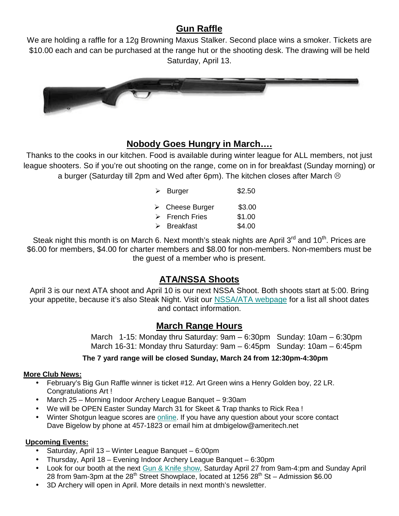# **Gun Raffle**

We are holding a raffle for a 12g Browning Maxus Stalker. Second place wins a smoker. Tickets are \$10.00 each and can be purchased at the range hut or the shooting desk. The drawing will be held Saturday, April 13.



## **Nobody Goes Hungry in March….**

Thanks to the cooks in our kitchen. Food is available during winter league for ALL members, not just league shooters. So if you're out shooting on the range, come on in for breakfast (Sunday morning) or a burger (Saturday till 2pm and Wed after 6pm). The kitchen closes after March  $\odot$ 

|   | $\triangleright$ Burger        | \$2.50 |
|---|--------------------------------|--------|
|   | $\triangleright$ Cheese Burger | \$3.00 |
|   | $\triangleright$ French Fries  | \$1.00 |
| ↘ | <b>Breakfast</b>               | \$4.00 |

Steak night this month is on March 6. Next month's steak nights are April  $3^{rd}$  and  $10^{th}$ . Prices are \$6.00 for members, \$4.00 for charter members and \$8.00 for non-members. Non-members must be the guest of a member who is present.

# **ATA/NSSA Shoots**

April 3 is our next ATA shoot and April 10 is our next NSSA Shoot. Both shoots start at 5:00. Bring your appetite, because it's also Steak Night. Visit our NSSA/ATA webpage for a list all shoot dates and contact information.

### **March Range Hours**

 March 1-15: Monday thru Saturday: 9am – 6:30pm Sunday: 10am – 6:30pm March 16-31: Monday thru Saturday: 9am – 6:45pm Sunday: 10am – 6:45pm

#### **The 7 yard range will be closed Sunday, March 24 from 12:30pm-4:30pm**

#### **More Club News:**

- February's Big Gun Raffle winner is ticket #12. Art Green wins a Henry Golden boy, 22 LR. Congratulations Art !
- March 25 Morning Indoor Archery League Banquet 9:30am
- We will be OPEN Easter Sunday March 31 for Skeet & Trap thanks to Rick Rea !
- Winter Shotgun league scores are online. If you have any question about your score contact Dave Bigelow by phone at 457-1823 or email him at dmbigelow@ameritech.net

#### **Upcoming Events:**

- Saturday, April 13 Winter League Banquet 6:00pm
- Thursday, April 18 Evening Indoor Archery League Banquet 6:30pm
- Look for our booth at the next Gun & Knife show, Saturday April 27 from 9am-4:pm and Sunday April 28 from 9am-3pm at the 28<sup>th</sup> Street Showplace, located at 1256 28<sup>th</sup> St – Admission \$6.00
- 3D Archery will open in April. More details in next month's newsletter.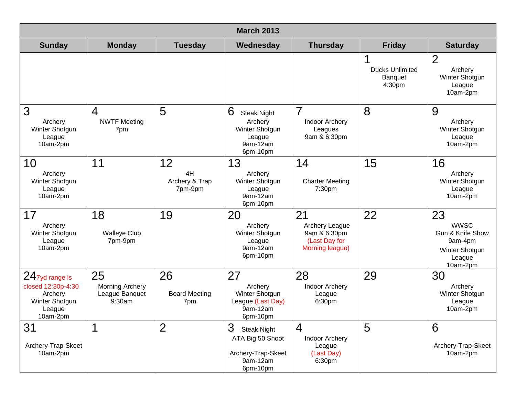| <b>March 2013</b>                                                                          |                                                          |                                       |                                                                                           |                                                                           |                                                    |                                                                                                     |
|--------------------------------------------------------------------------------------------|----------------------------------------------------------|---------------------------------------|-------------------------------------------------------------------------------------------|---------------------------------------------------------------------------|----------------------------------------------------|-----------------------------------------------------------------------------------------------------|
| <b>Sunday</b>                                                                              | <b>Monday</b>                                            | <b>Tuesday</b>                        | Wednesday                                                                                 | <b>Thursday</b>                                                           | <b>Friday</b>                                      | <b>Saturday</b>                                                                                     |
|                                                                                            |                                                          |                                       |                                                                                           |                                                                           | <b>Ducks Unlimited</b><br><b>Banquet</b><br>4:30pm | $\overline{2}$<br>Archery<br>Winter Shotgun<br>League<br>10am-2pm                                   |
| 3<br>Archery<br>Winter Shotgun<br>League<br>10am-2pm                                       | $\overline{4}$<br><b>NWTF Meeting</b><br>7pm             | 5                                     | 6<br><b>Steak Night</b><br>Archery<br>Winter Shotgun<br>League<br>9am-12am<br>6pm-10pm    | $\overline{7}$<br><b>Indoor Archery</b><br>Leagues<br>9am & 6:30pm        | 8                                                  | 9<br>Archery<br>Winter Shotgun<br>League<br>10am-2pm                                                |
| 10<br>Archery<br>Winter Shotgun<br>League<br>10am-2pm                                      | 11                                                       | 12<br>4H<br>Archery & Trap<br>7pm-9pm | 13<br>Archery<br>Winter Shotgun<br>League<br>9am-12am<br>6pm-10pm                         | 14<br><b>Charter Meeting</b><br>7:30pm                                    | 15                                                 | 16<br>Archery<br>Winter Shotgun<br>League<br>10am-2pm                                               |
| 17<br>Archery<br>Winter Shotgun<br>League<br>10am-2pm                                      | 18<br><b>Walleye Club</b><br>7pm-9pm                     | 19                                    | 20<br>Archery<br>Winter Shotgun<br>League<br>9am-12am<br>6pm-10pm                         | 21<br>Archery League<br>9am & 6:30pm<br>(Last Day for<br>Morning league)  | 22                                                 | 23<br><b>WWSC</b><br><b>Gun &amp; Knife Show</b><br>9am-4pm<br>Winter Shotgun<br>League<br>10am-2pm |
| $24$ 7yd range is<br>closed 12:30p-4:30<br>Archery<br>Winter Shotgun<br>League<br>10am-2pm | 25<br><b>Morning Archery</b><br>League Banquet<br>9:30am | 26<br><b>Board Meeting</b><br>7pm     | 27<br>Archery<br>Winter Shotgun<br>League (Last Day)<br>9am-12am<br>6pm-10pm              | 28<br><b>Indoor Archery</b><br>League<br>6:30pm                           | 29                                                 | 30<br>Archery<br>Winter Shotgun<br>League<br>10am-2pm                                               |
| 31<br>Archery-Trap-Skeet<br>10am-2pm                                                       | 1                                                        | $\overline{2}$                        | 3<br><b>Steak Night</b><br>ATA Big 50 Shoot<br>Archery-Trap-Skeet<br>9am-12am<br>6pm-10pm | $\overline{4}$<br><b>Indoor Archery</b><br>League<br>(Last Day)<br>6:30pm | 5                                                  | 6<br>Archery-Trap-Skeet<br>10am-2pm                                                                 |